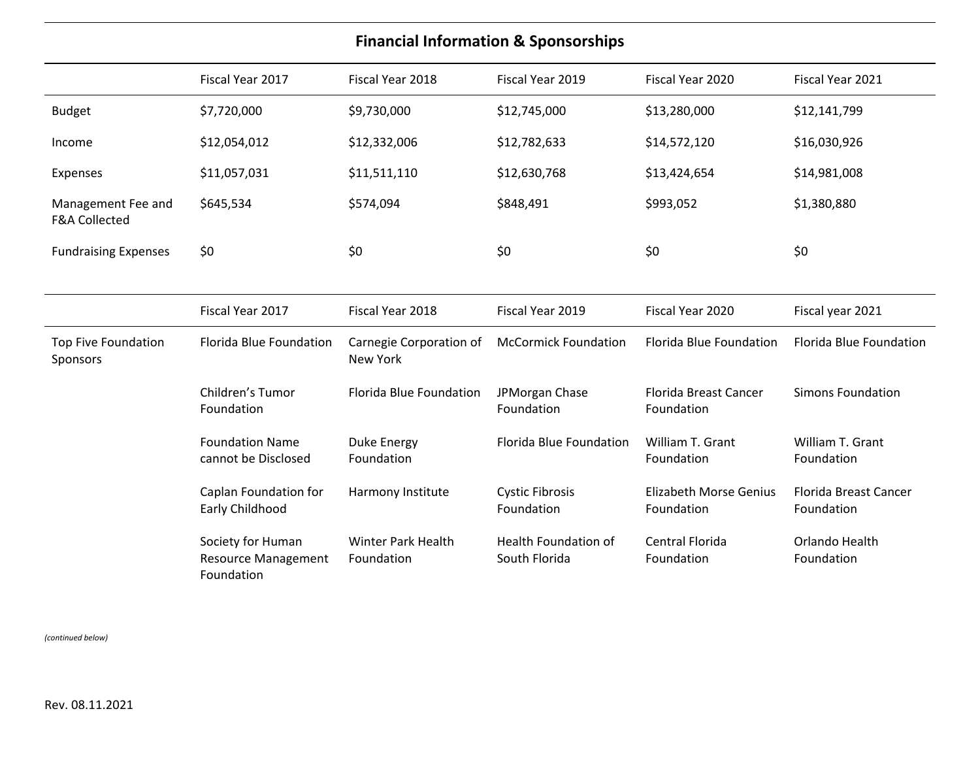## **Financial Information & Sponsorships**

|                                                | Fiscal Year 2017                                              | Fiscal Year 2018                           | Fiscal Year 2019                             | Fiscal Year 2020                            | Fiscal Year 2021                           |
|------------------------------------------------|---------------------------------------------------------------|--------------------------------------------|----------------------------------------------|---------------------------------------------|--------------------------------------------|
| <b>Budget</b>                                  | \$7,720,000                                                   | \$9,730,000                                | \$12,745,000                                 | \$13,280,000                                | \$12,141,799                               |
| Income                                         | \$12,054,012                                                  | \$12,332,006                               | \$12,782,633                                 | \$14,572,120                                | \$16,030,926                               |
| Expenses                                       | \$11,057,031                                                  | \$11,511,110                               | \$12,630,768                                 | \$13,424,654                                | \$14,981,008                               |
| Management Fee and<br><b>F&amp;A Collected</b> | \$645,534                                                     | \$574,094                                  | \$848,491                                    | \$993,052                                   | \$1,380,880                                |
| <b>Fundraising Expenses</b>                    | \$0                                                           | \$0                                        | \$0                                          | \$0                                         | \$0                                        |
|                                                |                                                               |                                            |                                              |                                             |                                            |
|                                                | Fiscal Year 2017                                              | Fiscal Year 2018                           | Fiscal Year 2019                             | Fiscal Year 2020                            | Fiscal year 2021                           |
| Top Five Foundation<br>Sponsors                | <b>Florida Blue Foundation</b>                                | Carnegie Corporation of<br><b>New York</b> | <b>McCormick Foundation</b>                  | <b>Florida Blue Foundation</b>              | <b>Florida Blue Foundation</b>             |
|                                                | Children's Tumor<br>Foundation                                | <b>Florida Blue Foundation</b>             | JPMorgan Chase<br>Foundation                 | <b>Florida Breast Cancer</b><br>Foundation  | <b>Simons Foundation</b>                   |
|                                                | <b>Foundation Name</b><br>cannot be Disclosed                 | Duke Energy<br>Foundation                  | <b>Florida Blue Foundation</b>               | William T. Grant<br>Foundation              | William T. Grant<br>Foundation             |
|                                                | Caplan Foundation for<br>Early Childhood                      | Harmony Institute                          | <b>Cystic Fibrosis</b><br>Foundation         | <b>Elizabeth Morse Genius</b><br>Foundation | <b>Florida Breast Cancer</b><br>Foundation |
|                                                | Society for Human<br><b>Resource Management</b><br>Foundation | <b>Winter Park Health</b><br>Foundation    | <b>Health Foundation of</b><br>South Florida | Central Florida<br>Foundation               | Orlando Health<br>Foundation               |

*(continued below)*